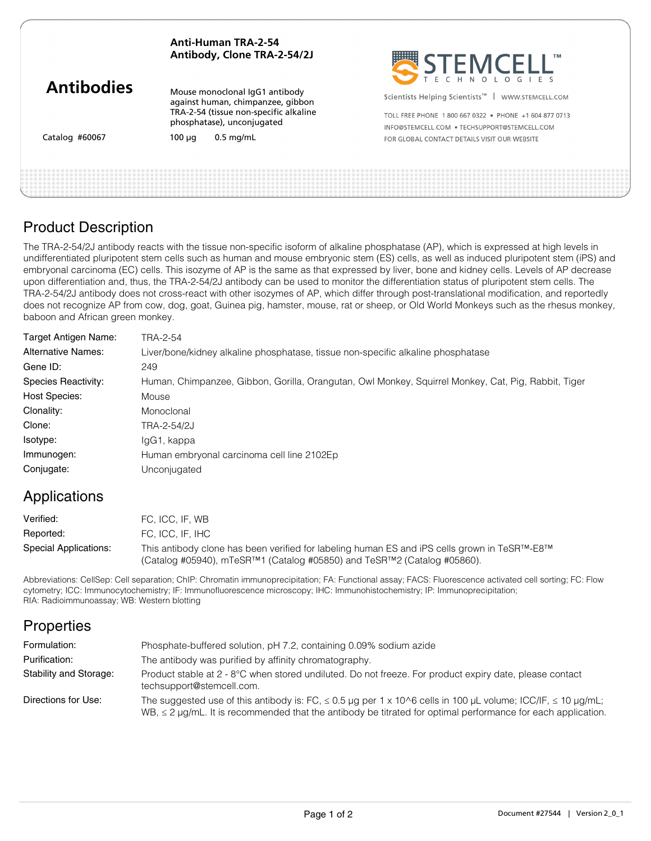#### **Anti-Human TRA-2-54 Antibody, Clone TRA-2-54/2J**

| <b>Antibodies</b> |
|-------------------|
|-------------------|

Catalog #60067

Mouse monoclonal IgG1 antibody against human, chimpanzee, gibbon TRA-2-54 (tissue non-specific alkaline phosphatase), unconjugated

 $100 \mu q$  0.5 mg/mL



Scientists Helping Scientists<sup>™</sup> | WWW.STEMCELL.COM

TOLL FREE PHONE 1 800 667 0322 · PHONE +1 604 877 0713 INFO@STEMCELL.COM . TECHSUPPORT@STEMCELL.COM FOR GLORAL CONTACT DETAILS VISIT OUR WERSITE

# Product Description

The TRA-2-54/2J antibody reacts with the tissue non-specific isoform of alkaline phosphatase (AP), which is expressed at high levels in undifferentiated pluripotent stem cells such as human and mouse embryonic stem (ES) cells, as well as induced pluripotent stem (iPS) and embryonal carcinoma (EC) cells. This isozyme of AP is the same as that expressed by liver, bone and kidney cells. Levels of AP decrease upon differentiation and, thus, the TRA-2-54/2J antibody can be used to monitor the differentiation status of pluripotent stem cells. The TRA-2-54/2J antibody does not cross-react with other isozymes of AP, which differ through post-translational modification, and reportedly does not recognize AP from cow, dog, goat, Guinea pig, hamster, mouse, rat or sheep, or Old World Monkeys such as the rhesus monkey, baboon and African green monkey.

| Target Antigen Name:      | TRA-2-54                                                                                            |
|---------------------------|-----------------------------------------------------------------------------------------------------|
| <b>Alternative Names:</b> | Liver/bone/kidney alkaline phosphatase, tissue non-specific alkaline phosphatase                    |
| Gene ID:                  | 249                                                                                                 |
| Species Reactivity:       | Human, Chimpanzee, Gibbon, Gorilla, Orangutan, Owl Monkey, Squirrel Monkey, Cat, Pig, Rabbit, Tiger |
| <b>Host Species:</b>      | Mouse                                                                                               |
| Clonality:                | Monoclonal                                                                                          |
| Clone:                    | TRA-2-54/2J                                                                                         |
| Isotype:                  | IgG1, kappa                                                                                         |
| Immunogen:                | Human embryonal carcinoma cell line 2102Ep                                                          |
| Conjugate:                | Unconjugated                                                                                        |

# Applications

| Verified:             | FC. ICC. IF. WB                                                                                                                                                                                    |
|-----------------------|----------------------------------------------------------------------------------------------------------------------------------------------------------------------------------------------------|
| Reported:             | FC. ICC. IF. IHC                                                                                                                                                                                   |
| Special Applications: | This antibody clone has been verified for labeling human ES and iPS cells grown in TeSR <sup>TM</sup> -E8 <sup>TM</sup><br>(Catalog #05940), mTeSR™1 (Catalog #05850) and TeSR™2 (Catalog #05860). |

Abbreviations: CellSep: Cell separation; ChIP: Chromatin immunoprecipitation; FA: Functional assay; FACS: Fluorescence activated cell sorting; FC: Flow cytometry; ICC: Immunocytochemistry; IF: Immunofluorescence microscopy; IHC: Immunohistochemistry; IP: Immunoprecipitation; RIA: Radioimmunoassay; WB: Western blotting

# **Properties**

| Formulation:           | Phosphate-buffered solution, pH 7.2, containing 0.09% sodium azide                                                                                                                                                                          |
|------------------------|---------------------------------------------------------------------------------------------------------------------------------------------------------------------------------------------------------------------------------------------|
| Purification:          | The antibody was purified by affinity chromatography.                                                                                                                                                                                       |
| Stability and Storage: | Product stable at 2 - 8°C when stored undiluted. Do not freeze. For product expiry date, please contact<br>techsupport@stemcell.com.                                                                                                        |
| Directions for Use:    | The suggested use of this antibody is: FC, $\leq$ 0.5 µg per 1 x 10^6 cells in 100 µL volume; ICC/IF, $\leq$ 10 µg/mL;<br>WB, $\leq$ 2 µg/mL. It is recommended that the antibody be titrated for optimal performance for each application. |